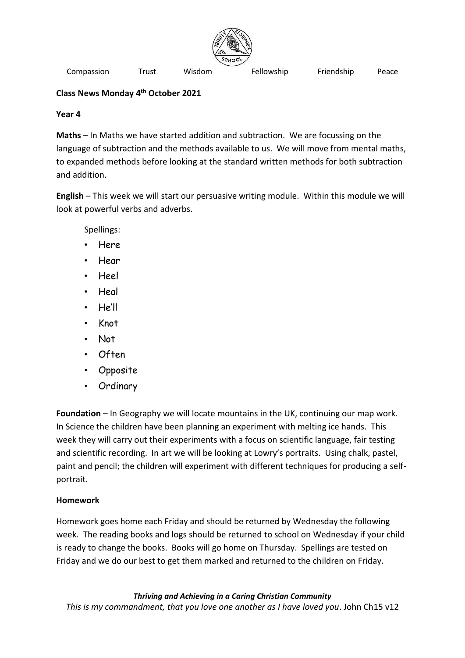

Compassion Trust Wisdom Fellowship Friendship Peace

## **Class News Monday 4 th October 2021**

## **Year 4**

**Maths** – In Maths we have started addition and subtraction. We are focussing on the language of subtraction and the methods available to us. We will move from mental maths, to expanded methods before looking at the standard written methods for both subtraction and addition.

**English** – This week we will start our persuasive writing module. Within this module we will look at powerful verbs and adverbs.

Spellings:

- Here
- Hear
- Heel
- Heal
- He'll
- Knot
- Not
- Often
- **Opposite**
- Ordinary

**Foundation** – In Geography we will locate mountains in the UK, continuing our map work. In Science the children have been planning an experiment with melting ice hands. This week they will carry out their experiments with a focus on scientific language, fair testing and scientific recording. In art we will be looking at Lowry's portraits. Using chalk, pastel, paint and pencil; the children will experiment with different techniques for producing a selfportrait.

## **Homework**

Homework goes home each Friday and should be returned by Wednesday the following week. The reading books and logs should be returned to school on Wednesday if your child is ready to change the books. Books will go home on Thursday. Spellings are tested on Friday and we do our best to get them marked and returned to the children on Friday.

*Thriving and Achieving in a Caring Christian Community This is my commandment, that you love one another as I have loved you*. John Ch15 v12